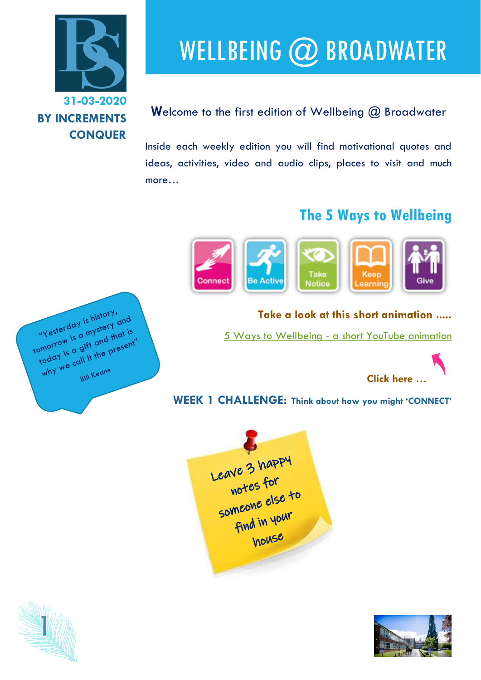

# WELLBEING @ BROADWATER

#### **W**elcome to the first edition of Wellbeing @ Broadwater

Inside each weekly edition you will find motivational quotes and ideas, activities, video and audio clips, places to visit and much more…

### **The 5 Ways to Wellbeing**



#### **Take a look at this short animation .....**

5 Ways to Wellbeing - [a short YouTube animation](https://www.youtube.com/watch?v=hYhvH2c2rFo)



**WEEK 1 CHALLENGE: Think about how you might 'CONNECT'** 





"Yesterday is history" "Yesterday is history" and<br>tomorrow is a mystery and<br>tomorrow is a gift and that is "Yesterday is a mystery and<br>omorrow is a mystery that is<br>omorrow is a gift and that is<br>today is a gift the present  $\frac{1}{2}$ <br>  $\frac{1}{2}$ <br>  $\frac{1}{2}$ <br>  $\frac{1}{2}$ <br>  $\frac{1}{2}$ <br>  $\frac{1}{2}$ <br>  $\frac{1}{2}$ <br>  $\frac{1}{2}$ <br>  $\frac{1}{2}$ <br>  $\frac{1}{2}$ <br>  $\frac{1}{2}$ <br>  $\frac{1}{2}$ <br>  $\frac{1}{2}$ <br>  $\frac{1}{2}$ <br>  $\frac{1}{2}$ <br>  $\frac{1}{2}$ <br>  $\frac{1}{2}$ <br>  $\frac{1}{2}$ <br>  $\frac{1}{2}$ <br>  $\frac{1}{2}$ <br> Bill Keane

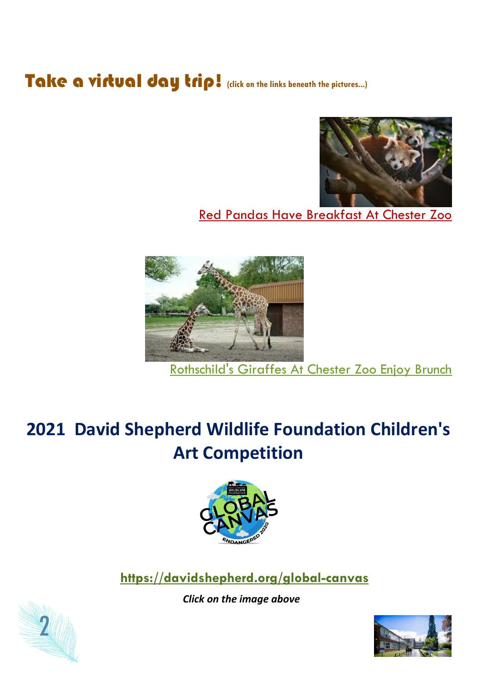## Take a virtual day trip! (dick on the links beneath the pictures...)



### [Red Pandas Have Breakfast At Chester Zoo](https://www.youtube.com/watch?v=p53Glw5Nzro&list=PLezrh9gR8RL3kkND8Pz2zOHHZPRk-a2VC)



[Rothschild's Giraffes At Chester Zoo Enjoy Brunch](https://www.youtube.com/watch?v=Z3-EFFVIR34&list=PLezrh9gR8RL3kkND8Pz2zOHHZPRk-a2VC&index=2)

### **2021 David Shepherd Wildlife Foundation Children's Art Competition**



**<https://davidshepherd.org/global-canvas>**

*Click on the image above*



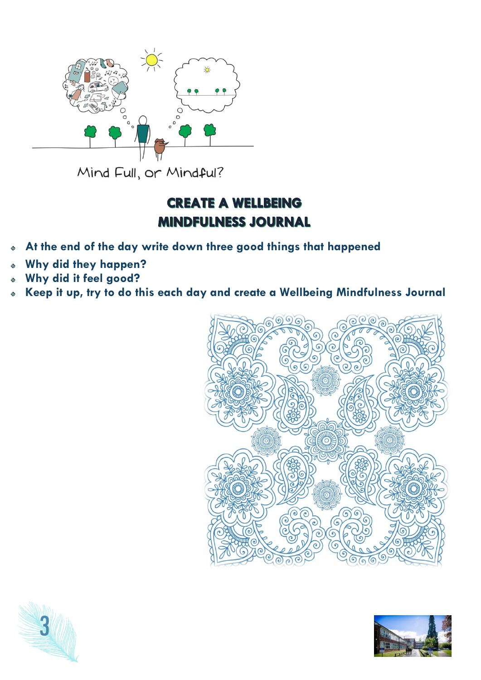

Mind Full, or Mindful?

### **CREATE A WELLBEING MINDFULNESS JOURNAL**

- **At the end of the day write down three good things that happened**
- **Why did they happen?**
- **Why did it feel good?**
- **Keep it up, try to do this each day and create a Wellbeing Mindfulness Journal**